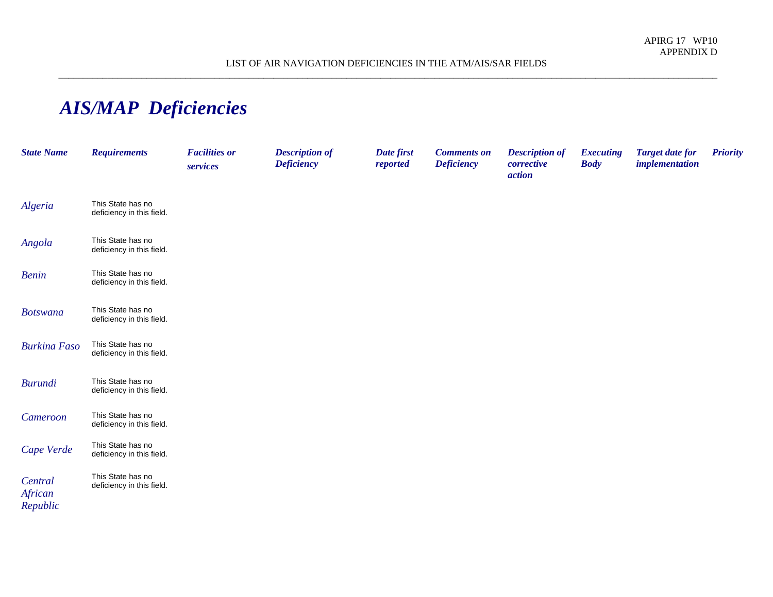## *AIS/MAP Deficiencies*

| <b>State Name</b>                     | <b>Requirements</b>                            | <b>Facilities or</b><br>services | <b>Description of</b><br><b>Deficiency</b> | Date first<br>reported | <b>Comments on</b><br><b>Deficiency</b> | <b>Description of</b><br>corrective<br>action | <b>Executing</b><br><b>Body</b> | <b>Target date for</b><br><i>implementation</i> | <b>Priority</b> |
|---------------------------------------|------------------------------------------------|----------------------------------|--------------------------------------------|------------------------|-----------------------------------------|-----------------------------------------------|---------------------------------|-------------------------------------------------|-----------------|
| Algeria                               | This State has no<br>deficiency in this field. |                                  |                                            |                        |                                         |                                               |                                 |                                                 |                 |
| Angola                                | This State has no<br>deficiency in this field. |                                  |                                            |                        |                                         |                                               |                                 |                                                 |                 |
| <b>Benin</b>                          | This State has no<br>deficiency in this field. |                                  |                                            |                        |                                         |                                               |                                 |                                                 |                 |
| <b>Botswana</b>                       | This State has no<br>deficiency in this field. |                                  |                                            |                        |                                         |                                               |                                 |                                                 |                 |
| <b>Burkina Faso</b>                   | This State has no<br>deficiency in this field. |                                  |                                            |                        |                                         |                                               |                                 |                                                 |                 |
| <b>Burundi</b>                        | This State has no<br>deficiency in this field. |                                  |                                            |                        |                                         |                                               |                                 |                                                 |                 |
| Cameroon                              | This State has no<br>deficiency in this field. |                                  |                                            |                        |                                         |                                               |                                 |                                                 |                 |
| Cape Verde                            | This State has no<br>deficiency in this field. |                                  |                                            |                        |                                         |                                               |                                 |                                                 |                 |
| Central<br><b>African</b><br>Republic | This State has no<br>deficiency in this field. |                                  |                                            |                        |                                         |                                               |                                 |                                                 |                 |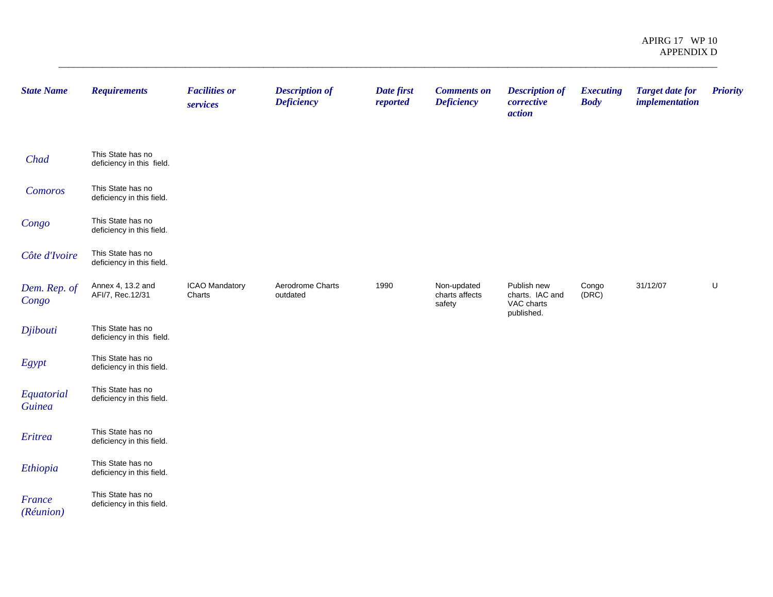| <b>State Name</b>           | <b>Requirements</b>                            | <b>Facilities or</b><br>services | <b>Description of</b><br><b>Deficiency</b> | Date first<br>reported | <b>Comments on</b><br><b>Deficiency</b> | <b>Description of</b><br>corrective<br><i>action</i>       | <b>Executing</b><br><b>Body</b> | <b>Target date for</b><br><i>implementation</i> | <b>Priority</b> |
|-----------------------------|------------------------------------------------|----------------------------------|--------------------------------------------|------------------------|-----------------------------------------|------------------------------------------------------------|---------------------------------|-------------------------------------------------|-----------------|
| Chad                        | This State has no<br>deficiency in this field. |                                  |                                            |                        |                                         |                                                            |                                 |                                                 |                 |
| Comoros                     | This State has no<br>deficiency in this field. |                                  |                                            |                        |                                         |                                                            |                                 |                                                 |                 |
| Congo                       | This State has no<br>deficiency in this field. |                                  |                                            |                        |                                         |                                                            |                                 |                                                 |                 |
| Côte d'Ivoire               | This State has no<br>deficiency in this field. |                                  |                                            |                        |                                         |                                                            |                                 |                                                 |                 |
| Dem. Rep. of<br>Congo       | Annex 4, 13.2 and<br>AFI/7, Rec.12/31          | <b>ICAO Mandatory</b><br>Charts  | Aerodrome Charts<br>outdated               | 1990                   | Non-updated<br>charts affects<br>safety | Publish new<br>charts. IAC and<br>VAC charts<br>published. | Congo<br>$(DR\tilde{C})$        | 31/12/07                                        | U               |
| Djibouti                    | This State has no<br>deficiency in this field. |                                  |                                            |                        |                                         |                                                            |                                 |                                                 |                 |
| Egypt                       | This State has no<br>deficiency in this field. |                                  |                                            |                        |                                         |                                                            |                                 |                                                 |                 |
| Equatorial<br><b>Guinea</b> | This State has no<br>deficiency in this field. |                                  |                                            |                        |                                         |                                                            |                                 |                                                 |                 |
| Eritrea                     | This State has no<br>deficiency in this field. |                                  |                                            |                        |                                         |                                                            |                                 |                                                 |                 |
| Ethiopia                    | This State has no<br>deficiency in this field. |                                  |                                            |                        |                                         |                                                            |                                 |                                                 |                 |
| France<br>(Réunion)         | This State has no<br>deficiency in this field. |                                  |                                            |                        |                                         |                                                            |                                 |                                                 |                 |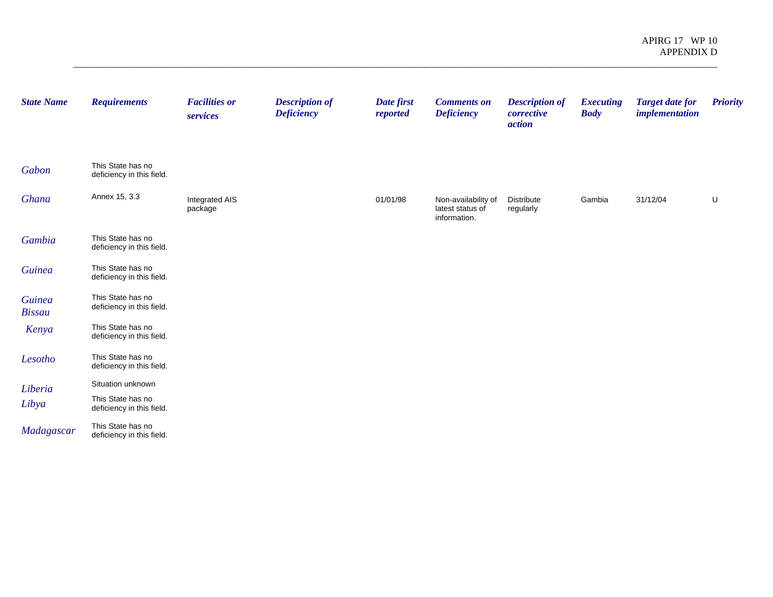| <b>State Name</b>              | <b>Requirements</b>                            | <b>Facilities or</b><br>services | <b>Description of</b><br><b>Deficiency</b> | Date first<br>reported | <b>Comments on</b><br><b>Deficiency</b>                 | <b>Description of</b><br>corrective<br>action | <b>Executing</b><br><b>Body</b> | <b>Target date for</b><br><i>implementation</i> | <b>Priority</b> |
|--------------------------------|------------------------------------------------|----------------------------------|--------------------------------------------|------------------------|---------------------------------------------------------|-----------------------------------------------|---------------------------------|-------------------------------------------------|-----------------|
| Gabon                          | This State has no<br>deficiency in this field. |                                  |                                            |                        |                                                         |                                               |                                 |                                                 |                 |
| Ghana                          | Annex 15, 3.3                                  | Integrated AIS<br>package        |                                            | 01/01/98               | Non-availability of<br>latest status of<br>information. | <b>Distribute</b><br>regularly                | Gambia                          | 31/12/04                                        | U               |
| Gambia                         | This State has no<br>deficiency in this field. |                                  |                                            |                        |                                                         |                                               |                                 |                                                 |                 |
| <b>Guinea</b>                  | This State has no<br>deficiency in this field. |                                  |                                            |                        |                                                         |                                               |                                 |                                                 |                 |
| <b>Guinea</b><br><b>Bissau</b> | This State has no<br>deficiency in this field. |                                  |                                            |                        |                                                         |                                               |                                 |                                                 |                 |
| Kenya                          | This State has no<br>deficiency in this field. |                                  |                                            |                        |                                                         |                                               |                                 |                                                 |                 |
| Lesotho                        | This State has no<br>deficiency in this field. |                                  |                                            |                        |                                                         |                                               |                                 |                                                 |                 |
| Liberia                        | Situation unknown                              |                                  |                                            |                        |                                                         |                                               |                                 |                                                 |                 |
| Libya                          | This State has no<br>deficiency in this field. |                                  |                                            |                        |                                                         |                                               |                                 |                                                 |                 |
| Madagascar                     | This State has no<br>deficiency in this field. |                                  |                                            |                        |                                                         |                                               |                                 |                                                 |                 |

\_\_\_\_\_\_\_\_\_\_\_\_\_\_\_\_\_\_\_\_\_\_\_\_\_\_\_\_\_\_\_\_\_\_\_\_\_\_\_\_\_\_\_\_\_\_\_\_\_\_\_\_\_\_\_\_\_\_\_\_\_\_\_\_\_\_\_\_\_\_\_\_\_\_\_\_\_\_\_\_\_\_\_\_\_\_\_\_\_\_\_\_\_\_\_\_\_\_\_\_\_\_\_\_\_\_\_\_\_\_\_\_\_\_\_\_\_\_\_\_\_\_\_\_\_\_\_\_\_\_\_\_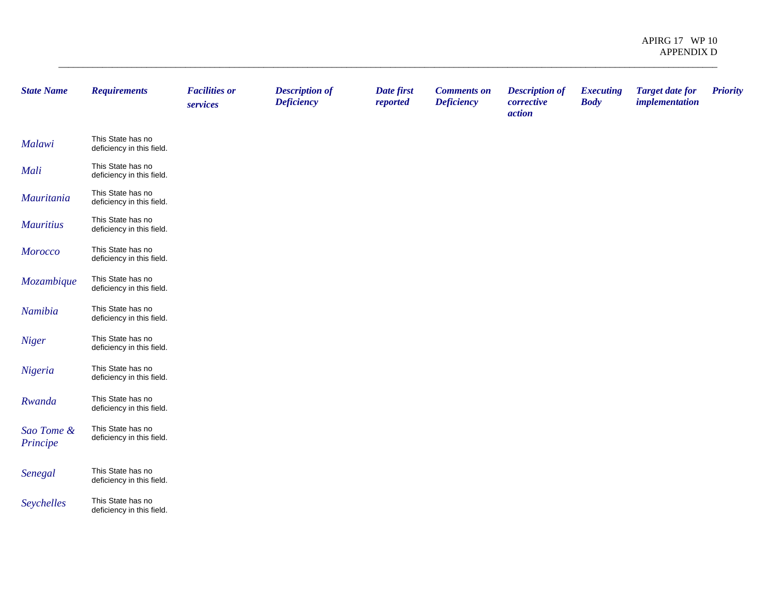| <b>State Name</b>      | <b>Requirements</b>                            | <b>Facilities or</b><br>services | <b>Description of</b><br><b>Deficiency</b> | Date first<br>reported | <b>Comments on</b><br><b>Deficiency</b> | <b>Description of</b><br>corrective<br>action | <b>Executing</b><br><b>Body</b> | <b>Target date for</b><br><i>implementation</i> | <b>Priority</b> |
|------------------------|------------------------------------------------|----------------------------------|--------------------------------------------|------------------------|-----------------------------------------|-----------------------------------------------|---------------------------------|-------------------------------------------------|-----------------|
| Malawi                 | This State has no<br>deficiency in this field. |                                  |                                            |                        |                                         |                                               |                                 |                                                 |                 |
| Mali                   | This State has no<br>deficiency in this field. |                                  |                                            |                        |                                         |                                               |                                 |                                                 |                 |
| Mauritania             | This State has no<br>deficiency in this field. |                                  |                                            |                        |                                         |                                               |                                 |                                                 |                 |
| <b>Mauritius</b>       | This State has no<br>deficiency in this field. |                                  |                                            |                        |                                         |                                               |                                 |                                                 |                 |
| <b>Morocco</b>         | This State has no<br>deficiency in this field. |                                  |                                            |                        |                                         |                                               |                                 |                                                 |                 |
| Mozambique             | This State has no<br>deficiency in this field. |                                  |                                            |                        |                                         |                                               |                                 |                                                 |                 |
| Namibia                | This State has no<br>deficiency in this field. |                                  |                                            |                        |                                         |                                               |                                 |                                                 |                 |
| Niger                  | This State has no<br>deficiency in this field. |                                  |                                            |                        |                                         |                                               |                                 |                                                 |                 |
| Nigeria                | This State has no<br>deficiency in this field. |                                  |                                            |                        |                                         |                                               |                                 |                                                 |                 |
| Rwanda                 | This State has no<br>deficiency in this field. |                                  |                                            |                        |                                         |                                               |                                 |                                                 |                 |
| Sao Tome &<br>Principe | This State has no<br>deficiency in this field. |                                  |                                            |                        |                                         |                                               |                                 |                                                 |                 |
| Senegal                | This State has no<br>deficiency in this field. |                                  |                                            |                        |                                         |                                               |                                 |                                                 |                 |
| Seychelles             | This State has no<br>deficiency in this field. |                                  |                                            |                        |                                         |                                               |                                 |                                                 |                 |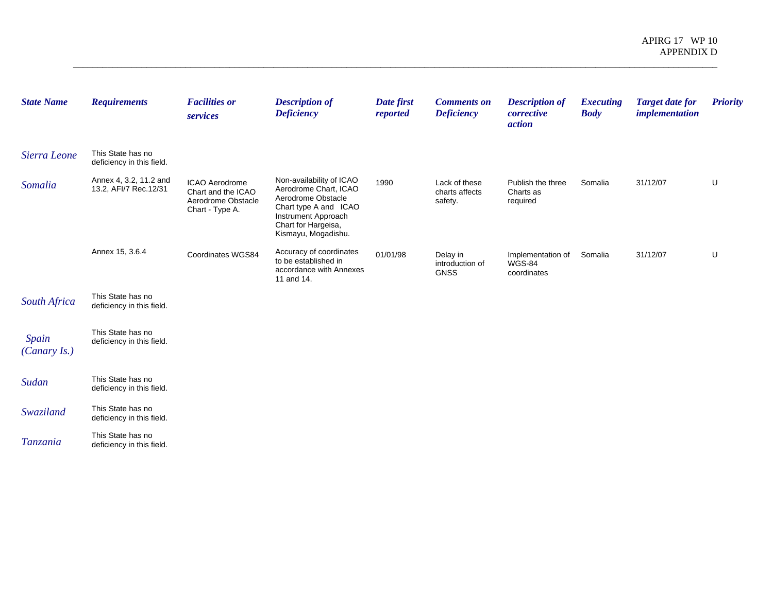| <b>State Name</b>     | <b>Requirements</b>                             | <b>Facilities or</b><br>services                                                     | <b>Description of</b><br><b>Deficiency</b>                                                                                                                            | Date first<br>reported | <b>Comments on</b><br><b>Deficiency</b>    | <b>Description of</b><br>corrective<br>action     | <b>Executing</b><br><b>Body</b> | <b>Target date for</b><br><i>implementation</i> | <b>Priority</b> |
|-----------------------|-------------------------------------------------|--------------------------------------------------------------------------------------|-----------------------------------------------------------------------------------------------------------------------------------------------------------------------|------------------------|--------------------------------------------|---------------------------------------------------|---------------------------------|-------------------------------------------------|-----------------|
| Sierra Leone          | This State has no<br>deficiency in this field.  |                                                                                      |                                                                                                                                                                       |                        |                                            |                                                   |                                 |                                                 |                 |
| Somalia               | Annex 4, 3.2, 11.2 and<br>13.2, AFI/7 Rec.12/31 | <b>ICAO Aerodrome</b><br>Chart and the ICAO<br>Aerodrome Obstacle<br>Chart - Type A. | Non-availability of ICAO<br>Aerodrome Chart, ICAO<br>Aerodrome Obstacle<br>Chart type A and ICAO<br>Instrument Approach<br>Chart for Hargeisa,<br>Kismayu, Mogadishu. | 1990                   | Lack of these<br>charts affects<br>safety. | Publish the three<br>Charts as<br>required        | Somalia                         | 31/12/07                                        | U               |
|                       | Annex 15, 3.6.4                                 | Coordinates WGS84                                                                    | Accuracy of coordinates<br>to be established in<br>accordance with Annexes<br>11 and 14.                                                                              | 01/01/98               | Delay in<br>introduction of<br><b>GNSS</b> | Implementation of<br><b>WGS-84</b><br>coordinates | Somalia                         | 31/12/07                                        | U               |
| <b>South Africa</b>   | This State has no<br>deficiency in this field.  |                                                                                      |                                                                                                                                                                       |                        |                                            |                                                   |                                 |                                                 |                 |
| Spain<br>(Canary Is.) | This State has no<br>deficiency in this field.  |                                                                                      |                                                                                                                                                                       |                        |                                            |                                                   |                                 |                                                 |                 |
| Sudan                 | This State has no<br>deficiency in this field.  |                                                                                      |                                                                                                                                                                       |                        |                                            |                                                   |                                 |                                                 |                 |
| Swaziland             | This State has no<br>deficiency in this field.  |                                                                                      |                                                                                                                                                                       |                        |                                            |                                                   |                                 |                                                 |                 |
| Tanzania              | This State has no<br>deficiency in this field.  |                                                                                      |                                                                                                                                                                       |                        |                                            |                                                   |                                 |                                                 |                 |

\_\_\_\_\_\_\_\_\_\_\_\_\_\_\_\_\_\_\_\_\_\_\_\_\_\_\_\_\_\_\_\_\_\_\_\_\_\_\_\_\_\_\_\_\_\_\_\_\_\_\_\_\_\_\_\_\_\_\_\_\_\_\_\_\_\_\_\_\_\_\_\_\_\_\_\_\_\_\_\_\_\_\_\_\_\_\_\_\_\_\_\_\_\_\_\_\_\_\_\_\_\_\_\_\_\_\_\_\_\_\_\_\_\_\_\_\_\_\_\_\_\_\_\_\_\_\_\_\_\_\_\_